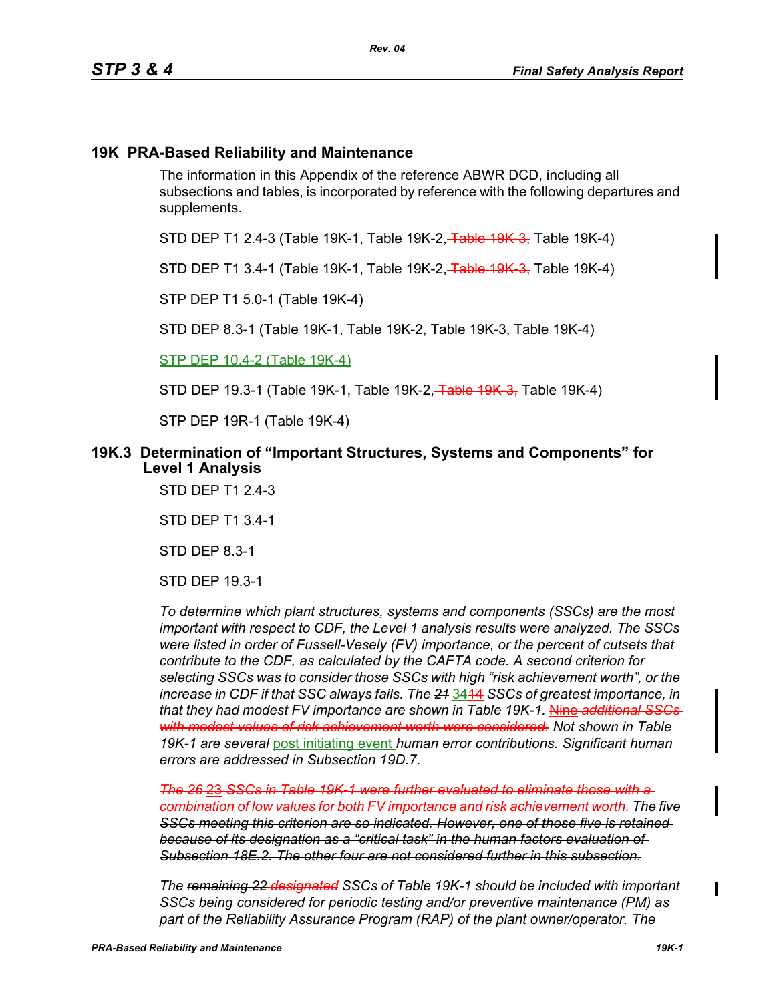## **19K PRA-Based Reliability and Maintenance**

The information in this Appendix of the reference ABWR DCD, including all subsections and tables, is incorporated by reference with the following departures and supplements.

STD DEP T1 2.4-3 (Table 19K-1, Table 19K-2, Table 19K-3, Table 19K-4)

STD DEP T1 3.4-1 (Table 19K-1, Table 19K-2, Table 19K 3, Table 19K-4)

STP DEP T1 5.0-1 (Table 19K-4)

STD DEP 8.3-1 (Table 19K-1, Table 19K-2, Table 19K-3, Table 19K-4)

STP DEP 10.4-2 (Table 19K-4)

STD DEP 19.3-1 (Table 19K-1, Table 19K-2, Table 19K-3, Table 19K-4)

STP DEP 19R-1 (Table 19K-4)

### **19K.3 Determination of "Important Structures, Systems and Components" for Level 1 Analysis**

STD DEP T1 2.4-3

STD DEP T1 3.4-1

STD DEP 8.3-1

STD DEP 19.3-1

*To determine which plant structures, systems and components (SSCs) are the most important with respect to CDF, the Level 1 analysis results were analyzed. The SSCs were listed in order of Fussell-Vesely (FV) importance, or the percent of cutsets that contribute to the CDF, as calculated by the CAFTA code. A second criterion for selecting SSCs was to consider those SSCs with high "risk achievement worth", or the increase in CDF if that SSC always fails. The 21* 3414 *SSCs of greatest importance, in that they had modest FV importance are shown in Table 19K-1.* Nine *additional SSCs with modest values of risk achievement worth were considered. Not shown in Table 19K-1 are several* post initiating event *human error contributions. Significant human errors are addressed in Subsection 19D.7.*

*The 26* 23 *SSCs in Table 19K-1 were further evaluated to eliminate those with a combination of low values for both FV importance and risk achievement worth. The five SSCs meeting this criterion are so indicated. However, one of those five is retained because of its designation as a "critical task" in the human factors evaluation of Subsection 18E.2. The other four are not considered further in this subsection.*

*The remaining 22 designated SSCs of Table 19K-1 should be included with important SSCs being considered for periodic testing and/or preventive maintenance (PM) as part of the Reliability Assurance Program (RAP) of the plant owner/operator. The*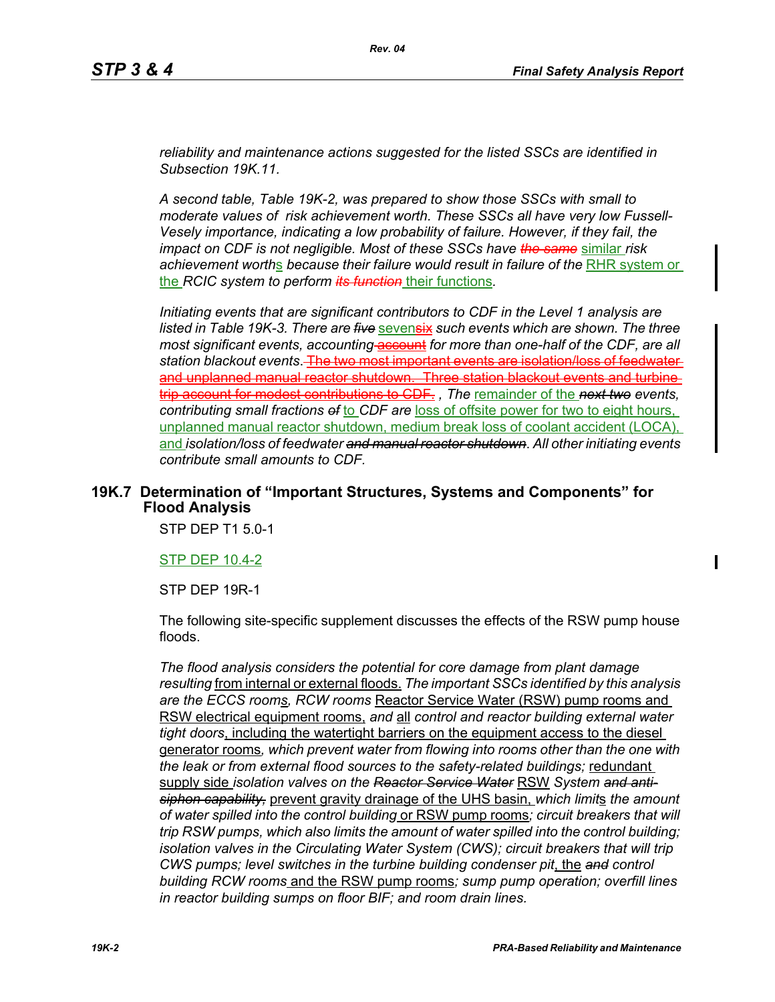*reliability and maintenance actions suggested for the listed SSCs are identified in Subsection 19K.11.*

*A second table, Table 19K-2, was prepared to show those SSCs with small to moderate values of risk achievement worth. These SSCs all have very low Fussell-Vesely importance, indicating a low probability of failure. However, if they fail, the impact on CDF is not negligible. Most of these SSCs have the same* similar *risk*  achievement worths because their failure would result in failure of the RHR system or the *RCIC system to perform its function* their functions*.*

*Initiating events that are significant contributors to CDF in the Level 1 analysis are listed in Table 19K-3. There are five* sevensix *such events which are shown. The three most significant events, accounting* account *for more than one-half of the CDF, are all* station blackout events. The two most important e and unplanned manual reactor shutdown. Three station blackout events and turbine trip account for modest contributions to CDF. *, The* remainder of the *next two events,*  contributing small fractions of to CDF are loss of offsite power for two to eight hours, unplanned manual reactor shutdown, medium break loss of coolant accident (LOCA), and *isolation/loss of feedwater and manual reactor shutdown*. *All other initiating events contribute small amounts to CDF.*

## **19K.7 Determination of "Important Structures, Systems and Components" for Flood Analysis**

STP DEP T1 5.0-1

### STP DEP 10.4-2

STP DEP 19R-1

The following site-specific supplement discusses the effects of the RSW pump house floods.

*The flood analysis considers the potential for core damage from plant damage resulting* from internal or external floods. *The important SSCs identified by this analysis are the ECCS rooms, RCW rooms* Reactor Service Water (RSW) pump rooms and RSW electrical equipment rooms, *and* all *control and reactor building external water tight doors*, including the watertight barriers on the equipment access to the diesel generator rooms*, which prevent water from flowing into rooms other than the one with*  the leak or from external flood sources to the safety-related buildings; redundant supply side *isolation valves on the Reactor Service Water* RSW *System and antisiphon capability,* prevent gravity drainage of the UHS basin, *which limit*s *the amount of water spilled into the control building* or RSW pump rooms*; circuit breakers that will trip RSW pumps, which also limits the amount of water spilled into the control building; isolation valves in the Circulating Water System (CWS); circuit breakers that will trip CWS pumps; level switches in the turbine building condenser pit*, the *and control building RCW rooms* and the RSW pump rooms*; sump pump operation; overfill lines in reactor building sumps on floor BIF; and room drain lines.*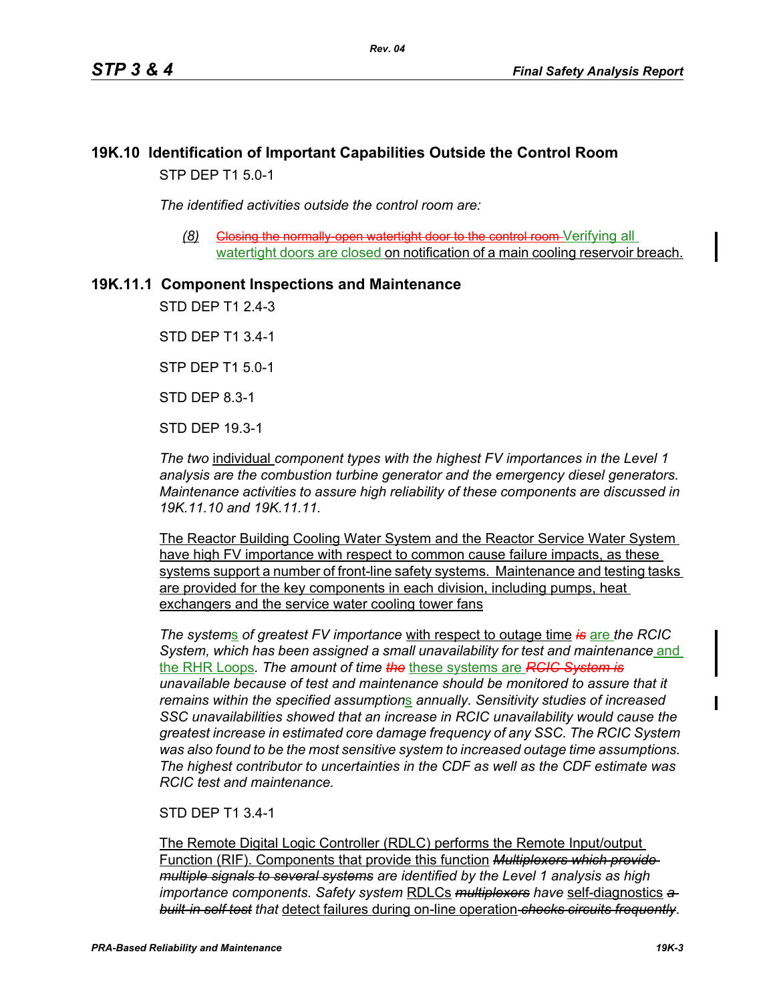# **19K.10 Identification of Important Capabilities Outside the Control Room** STP DEP T1 5.0-1

*The identified activities outside the control room are:*

**(8)** Closing the normally open watertight door to the control room Verifying all watertight doors are closed on notification of a main cooling reservoir breach.

# **19K.11.1 Component Inspections and Maintenance**

STD DEP T1 2.4-3

STD DEP T1 3.4-1

STP DEP T1 5.0-1

STD DEP 8.3-1

STD DEP 19.3-1

*The two* individual *component types with the highest FV importances in the Level 1 analysis are the combustion turbine generator and the emergency diesel generators. Maintenance activities to assure high reliability of these components are discussed in 19K.11.10 and 19K.11.11.*

The Reactor Building Cooling Water System and the Reactor Service Water System have high FV importance with respect to common cause failure impacts, as these systems support a number of front-line safety systems. Maintenance and testing tasks are provided for the key components in each division, including pumps, heat exchangers and the service water cooling tower fans

*The system*s *of greatest FV importance* with respect to outage time *is* are *the RCIC System, which has been assigned a small unavailability for test and maintenance* and the RHR Loops*. The amount of time the* these systems are *RCIC System is unavailable because of test and maintenance should be monitored to assure that it remains within the specified assumption*s *annually. Sensitivity studies of increased SSC unavailabilities showed that an increase in RCIC unavailability would cause the greatest increase in estimated core damage frequency of any SSC. The RCIC System was also found to be the most sensitive system to increased outage time assumptions. The highest contributor to uncertainties in the CDF as well as the CDF estimate was RCIC test and maintenance.*

### STD DEP T1 3.4-1

The Remote Digital Logic Controller (RDLC) performs the Remote Input/output Function (RIF). Components that provide this function *Multiplexers which provide multiple signals to several systems are identified by the Level 1 analysis as high importance components. Safety system* RDLCs *multiplexers have* self-diagnostics *a built-in self test that* detect failures during on-line operation *checks circuits frequently*.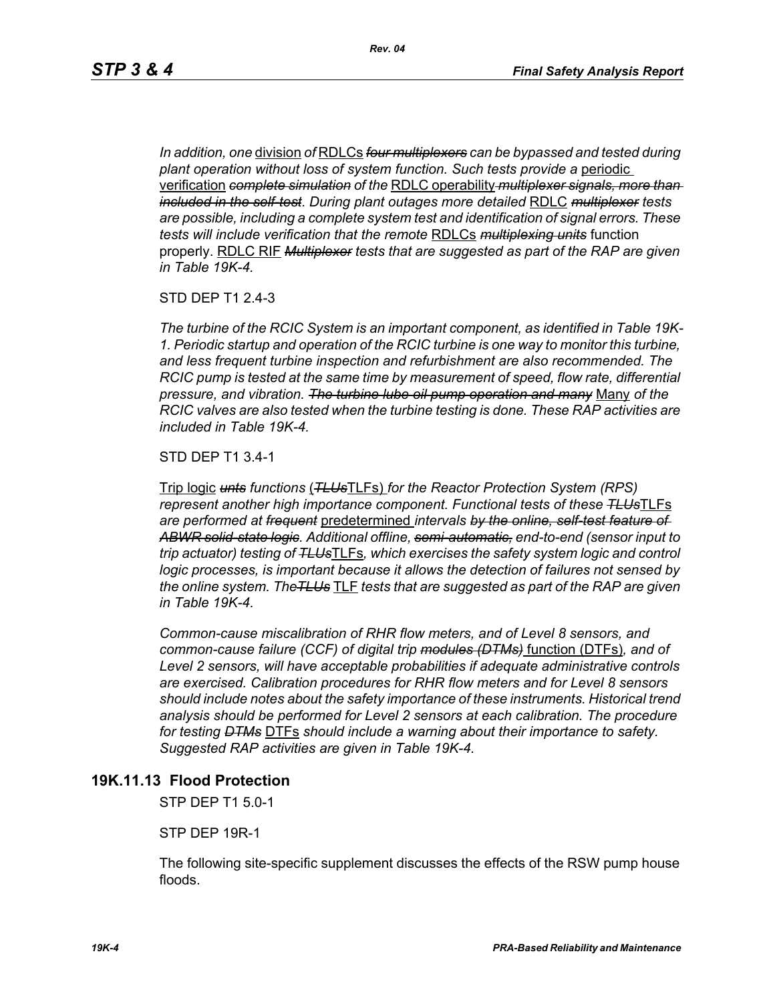*In addition, one* division *of* RDLCs *four multiplexers can be bypassed and tested during plant operation without loss of system function. Such tests provide a* periodic verification *complete simulation of the* RDLC operability *multiplexer signals, more than included in the self-test*. *During plant outages more detailed* RDLC *multiplexer tests are possible, including a complete system test and identification of signal errors. These tests will include verification that the remote* RDLCs *multiplexing units* function properly. RDLC RIF *Multiplexer tests that are suggested as part of the RAP are given in Table 19K-4.*

STD DEP T1 2.4-3

*The turbine of the RCIC System is an important component, as identified in Table 19K-1. Periodic startup and operation of the RCIC turbine is one way to monitor this turbine, and less frequent turbine inspection and refurbishment are also recommended. The RCIC pump is tested at the same time by measurement of speed, flow rate, differential pressure, and vibration. The turbine lube oil pump operation and many* Many *of the RCIC valves are also tested when the turbine testing is done. These RAP activities are included in Table 19K-4.*

STD DEP T1 3.4-1

Trip logic *unts functions* (*TLUs*TLFs) *for the Reactor Protection System (RPS) represent another high importance component. Functional tests of these TLUs*TLFs *are performed at frequent* predetermined *intervals by the online, self-test feature of ABWR solid-state logic. Additional offline, semi-automatic, end-to-end (sensor input to trip actuator) testing of TLUs*TLFs*, which exercises the safety system logic and control logic processes, is important because it allows the detection of failures not sensed by the online system. TheTLUs* TLF *tests that are suggested as part of the RAP are given in Table 19K-4.* 

*Common-cause miscalibration of RHR flow meters, and of Level 8 sensors, and common-cause failure (CCF) of digital trip modules (DTMs)* function (DTFs)*, and of Level 2 sensors, will have acceptable probabilities if adequate administrative controls are exercised. Calibration procedures for RHR flow meters and for Level 8 sensors should include notes about the safety importance of these instruments. Historical trend analysis should be performed for Level 2 sensors at each calibration. The procedure for testing DTMs* DTFs *should include a warning about their importance to safety. Suggested RAP activities are given in Table 19K-4.*

### **19K.11.13 Flood Protection**

STP DEP T1 5.0-1

STP DEP 19R-1

The following site-specific supplement discusses the effects of the RSW pump house floods.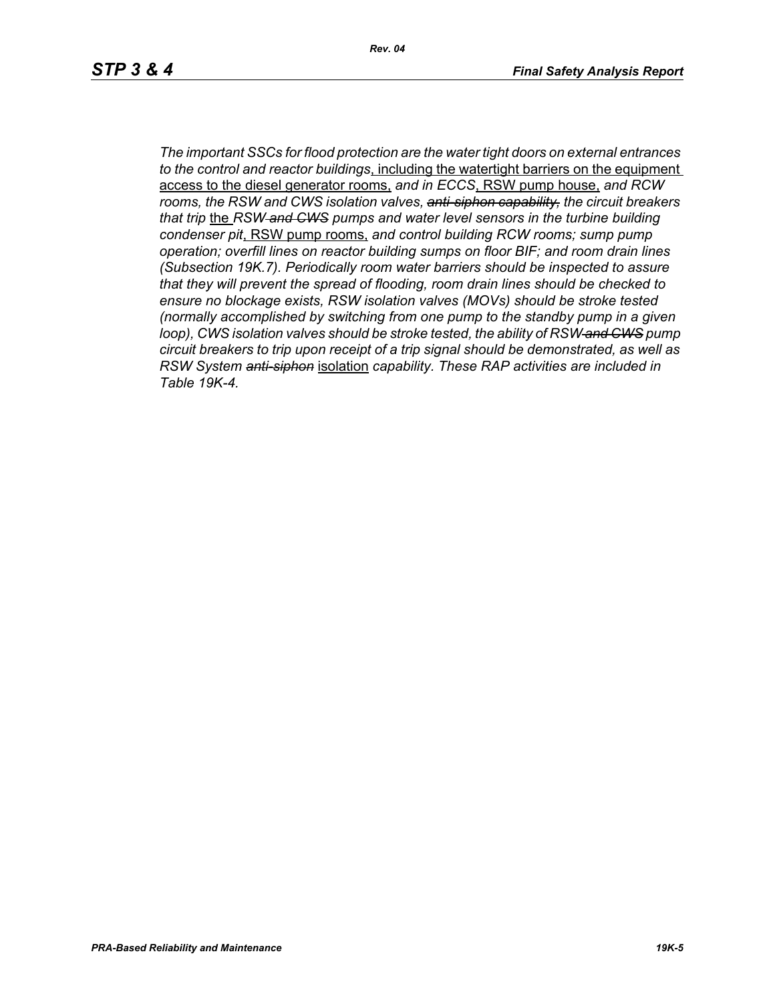*Rev. 04*

*The important SSCs for flood protection are the water tight doors on external entrances to the control and reactor buildings*, including the watertight barriers on the equipment access to the diesel generator rooms, *and in ECCS*, RSW pump house, *and RCW rooms, the RSW and CWS isolation valves, anti-siphon capability, the circuit breakers that trip* the *RSW and CWS pumps and water level sensors in the turbine building condenser pit*, RSW pump rooms, *and control building RCW rooms; sump pump operation; overfill lines on reactor building sumps on floor BIF; and room drain lines (Subsection 19K.7). Periodically room water barriers should be inspected to assure that they will prevent the spread of flooding, room drain lines should be checked to ensure no blockage exists, RSW isolation valves (MOVs) should be stroke tested (normally accomplished by switching from one pump to the standby pump in a given loop), CWS isolation valves should be stroke tested, the ability of RSW and CWS pump circuit breakers to trip upon receipt of a trip signal should be demonstrated, as well as RSW System anti-siphon* isolation *capability. These RAP activities are included in Table 19K-4.*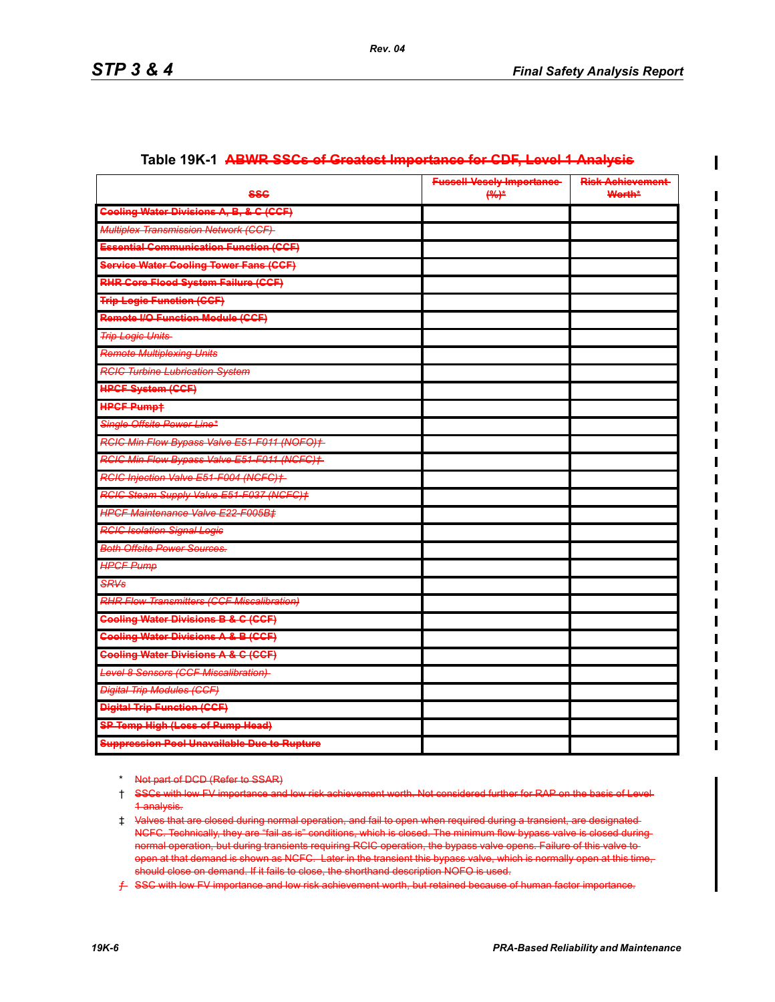| <b>SSC</b>                                         | <b>Fussell Vesely Importance</b><br>$(96)^*$ | <b>Risk Achievement-</b><br><b>Worth*</b> |
|----------------------------------------------------|----------------------------------------------|-------------------------------------------|
| <b>Geeling Water Divisions A, B, &amp; C (CCF)</b> |                                              |                                           |
| <b>Multiplex Transmission Network (CCF)</b>        |                                              |                                           |
| <b>Essential Communication Function (CCF)</b>      |                                              |                                           |
| Service Water Cooling Tower Fans (CCF)             |                                              |                                           |
| RHR Core Flood System Failure (CCF)                |                                              |                                           |
| <b>Trip Logic Function (CCF)</b>                   |                                              |                                           |
| <b>Remote I/O Function Module (CCF)</b>            |                                              |                                           |
| <b>Trip Logic Units</b>                            |                                              |                                           |
| <b>Remote Multiplexing Units</b>                   |                                              |                                           |
| <b>RCIC Turbine Lubrication System</b>             |                                              |                                           |
| <b>HPCF System (CCF)</b>                           |                                              |                                           |
| <b>HPCF Pumpt</b>                                  |                                              |                                           |
| Single Offsite Power Line*                         |                                              |                                           |
| RGIC Min Flow Bypass Valve E51-F011 (NOFO)+        |                                              |                                           |
| RCIC Min Flow Bypass Valve E51-F011 (NCFC)+        |                                              |                                           |
| RCIC Injection Valve E51-F004 (NCFC)+              |                                              |                                           |
| RGIG Steam Supply Valve E51-F037 (NGFG)+           |                                              |                                           |
| HPCF Maintenance Valve E22-F005B‡                  |                                              |                                           |
| <b>RCIC Isolation Signal Logic</b>                 |                                              |                                           |
| <b>Both Offsite Power Sources.</b>                 |                                              |                                           |
| <b>HPCF Pump</b>                                   |                                              |                                           |
| <b>SRVs</b>                                        |                                              |                                           |
| <b>RHR Flow Transmitters (CCF Miscalibration)</b>  |                                              |                                           |
| <b>Cooling Water Divisions B &amp; C (CCF)</b>     |                                              |                                           |
| <b>Cooling Water Divisions A &amp; B (CCF)</b>     |                                              |                                           |
| <b>Cooling Water Divisions A &amp; C (CCF)</b>     |                                              |                                           |
| Level 8 Sensors (CCF Miscalibration)               |                                              |                                           |
| <b>Digital Trip Modules (CCF)</b>                  |                                              |                                           |
| <b>Digital Trip Function (CCF)</b>                 |                                              |                                           |
| <b>SP Temp High (Less of Pump Head)</b>            |                                              |                                           |
| <b>Suppression Pool Unavailable Due to Rupture</b> |                                              |                                           |

#### **Table 19K-1 ABWR SSCs of Greatest Importance for CDF, Level 1 Analysis**

\* Not part of DCD (Refer to SSAR)

<sup>†</sup> SSCs with low FV importance and low risk achievement worth. Not considered further for RAP on the basis of Level 1 analysis.

<sup>‡</sup> Valves that are closed during normal operation, and fail to open when required during a transient, are designated NCFC. Technically, they are "fail as is" conditions, which is closed. The minimum flow bypass valve is closed during normal operation, but during transients requiring RCIC operation, the bypass valve opens. Failure of this valve to open at that demand is shown as NCFC. Later in the transient this bypass valve, which is normally open at this time, should close on demand. If it fails to close, the shorthand description NOFO is used.

ƒ SSC with low FV importance and low risk achievement worth, but retained because of human factor importance.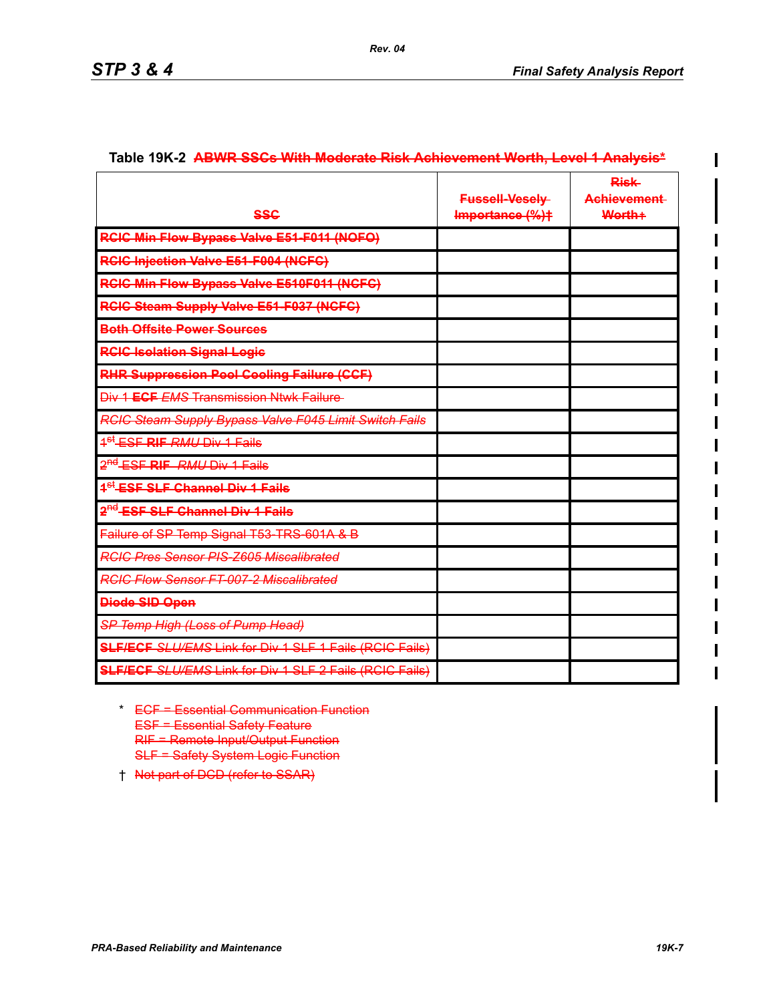$\mathbf I$ 

|                                                                | <b>Fussell-Veselv-</b> | <b>Risk</b><br>Achievement |
|----------------------------------------------------------------|------------------------|----------------------------|
| <b>SSC</b>                                                     | Importance (%)+        | Worth+                     |
| <b>RCIC Min Flow Bypass Valve E51 F011 (NOFO)</b>              |                        |                            |
| <b>RCIC Injection Valve E51-F004 (NCFC)</b>                    |                        |                            |
| <b>RCIC Min Flow Bypass Valve E510F011 (NCFC)</b>              |                        |                            |
| RCIC Steam Supply Valve E51 F037 (NCFC)                        |                        |                            |
| <b>Both Offsite Power Sources</b>                              |                        |                            |
| <b>RCIC Isolation Signal Logie</b>                             |                        |                            |
| <b>RHR Suppression Pool Cooling Failure (CCF)</b>              |                        |                            |
| Div 1 ECF EMS Transmission Ntwk Failure                        |                        |                            |
| RCIC Steam Supply Bypass Valve F045 Limit Switch Fails         |                        |                            |
| <sup>4<sup>st</sup> ESF <b>RIF</b> RMU Div 1 Fails</sup>       |                        |                            |
| 2 <sup>nd</sup> ESF <b>RIF</b> RMU Div 1 Fails                 |                        |                            |
| <sup>4<sup>st</sup> ESF SLF Channel Div 1 Fails</sup>          |                        |                            |
| 2 <sup>nd</sup> ESF SLF Channel Div 1 Fails                    |                        |                            |
| Failure of SP Temp Signal T53 TRS 601A & B                     |                        |                            |
| <b>RGIC Pres Sensor PIS-Z605 Miscalibrated</b>                 |                        |                            |
| <b>RGIC Flow Sensor FT-007-2 Miscalibrated</b>                 |                        |                            |
| <b>Diede SID Open</b>                                          |                        |                            |
| SP Temp High (Loss of Pump Head)                               |                        |                            |
| <b>SLF/ECF SLU/EMS Link for Div 1 SLF 1 Fails (RCIC Fails)</b> |                        |                            |
| <b>SLF/ECF SLU/EMS Link for Div 1 SLF 2 Fails (RCIC Fails)</b> |                        |                            |

#### Table 19K-2 **ABWR SSCs With Moderate Risk Achievement Worth, Level 1 Analysis\***

- \* ECF = Essential Communication Function ESF = Essential Safety Feature RIF = Remote Input/Output Function SLF = Safety System Logic Function
- † Not part of DCD (refer to SSAR)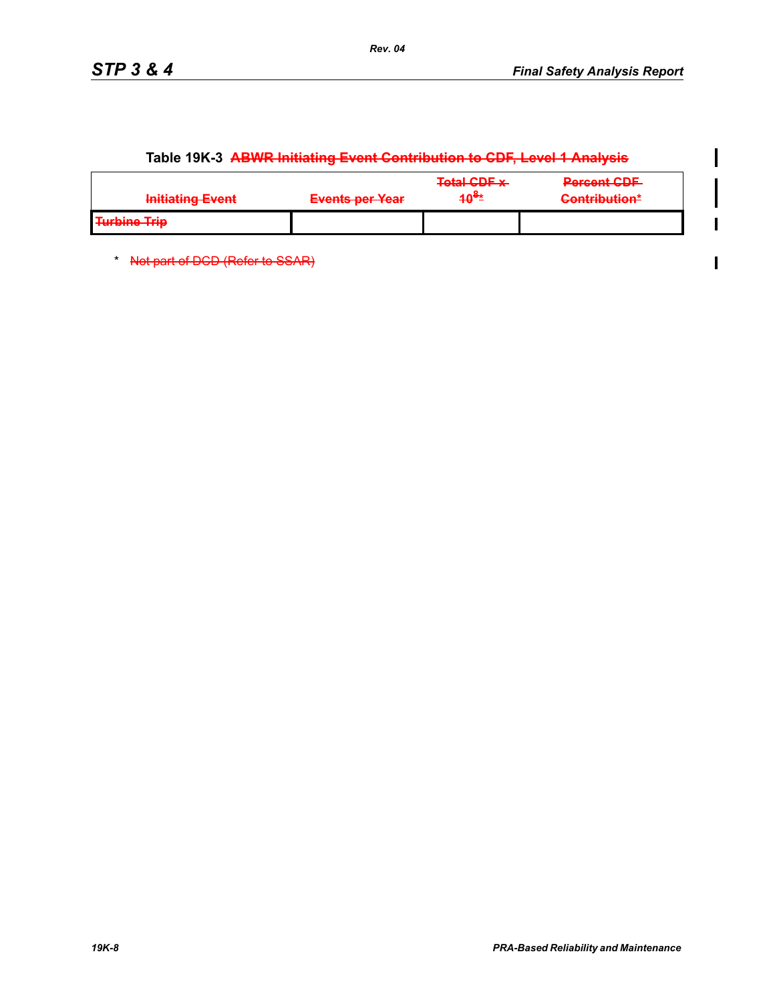$\mathbf l$ 

 $\overline{\phantom{a}}$ Ī

 $\blacksquare$ 

| Initiating Event<br><u> HERBERT EN AVITS</u>        | Evante par Vasr<br><b>THE ANGELES AND TAKE A VEHICLE</b> | <b>Total CDE v.</b><br><del>ivar opr x</del><br>10 <sup>ë±</sup> | <b>Dorgant CDE</b><br><b>INVESTIGATION</b><br>$\Gamma$ ontribution*<br><b>CAMBRIDGET AND LONGE</b> |
|-----------------------------------------------------|----------------------------------------------------------|------------------------------------------------------------------|----------------------------------------------------------------------------------------------------|
| <b>Turbino Trin</b><br><del>, 1919, 1110 1111</del> |                                                          |                                                                  |                                                                                                    |

# **Table 19K-3 ABWR Initiating Event Contribution to CDF, Level 1 Analysis**

\* Not part of DCD (Refer to SSAR)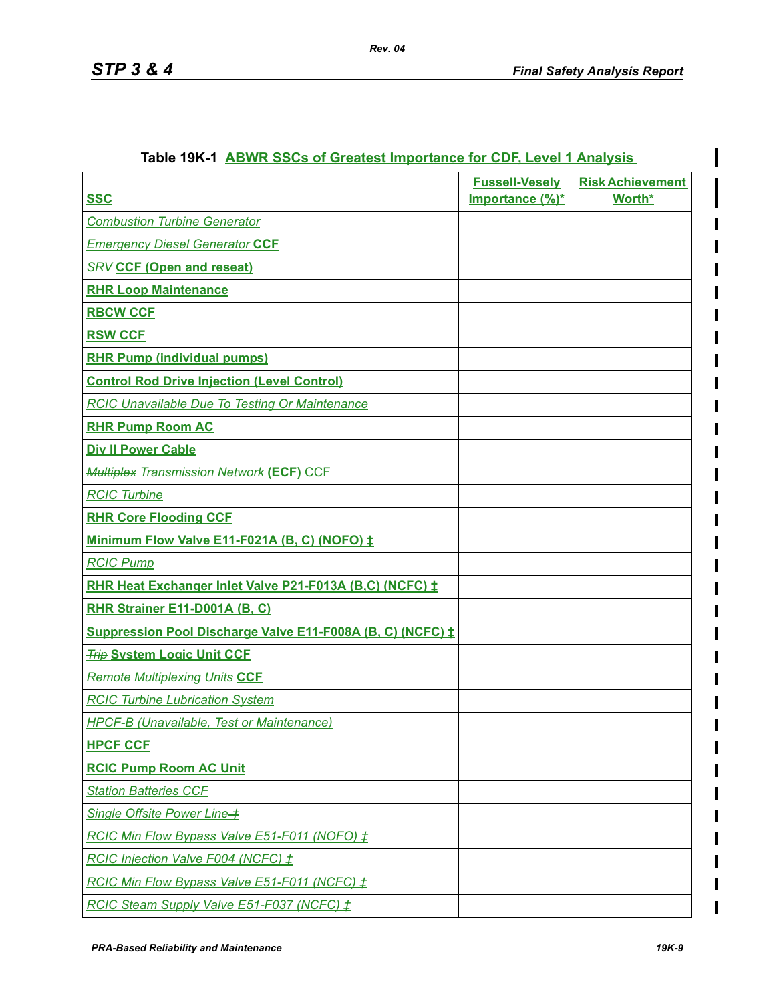ı

| <b>SSC</b>                                                 | <b>Fussell-Vesely</b><br>Importance (%)* | <b>Risk Achievement</b><br>Worth* |
|------------------------------------------------------------|------------------------------------------|-----------------------------------|
| <b>Combustion Turbine Generator</b>                        |                                          |                                   |
| <b>Emergency Diesel Generator CCF</b>                      |                                          |                                   |
| <b>SRV CCF (Open and reseat)</b>                           |                                          |                                   |
| <b>RHR Loop Maintenance</b>                                |                                          |                                   |
| <b>RBCW CCF</b>                                            |                                          |                                   |
| <b>RSW CCF</b>                                             |                                          |                                   |
| <b>RHR Pump (individual pumps)</b>                         |                                          |                                   |
| <b>Control Rod Drive Injection (Level Control)</b>         |                                          |                                   |
| <b>RCIC Unavailable Due To Testing Or Maintenance</b>      |                                          |                                   |
| <b>RHR Pump Room AC</b>                                    |                                          |                                   |
| <b>Div II Power Cable</b>                                  |                                          |                                   |
| <b>Multiplex Transmission Network (ECF) CCF</b>            |                                          |                                   |
| <b>RCIC Turbine</b>                                        |                                          |                                   |
| <b>RHR Core Flooding CCF</b>                               |                                          |                                   |
| Minimum Flow Valve E11-F021A (B, C) (NOFO) ±               |                                          |                                   |
| <b>RCIC Pump</b>                                           |                                          |                                   |
| RHR Heat Exchanger Inlet Valve P21-F013A (B,C) (NCFC) ±    |                                          |                                   |
| RHR Strainer E11-D001A (B, C)                              |                                          |                                   |
| Suppression Pool Discharge Valve E11-F008A (B, C) (NCFC) ± |                                          |                                   |
| <b>Trip System Logic Unit CCF</b>                          |                                          |                                   |
| <b>Remote Multiplexing Units CCF</b>                       |                                          |                                   |
| <b>RCIC Turbine Lubrication System</b>                     |                                          |                                   |
| HPCF-B (Unavailable, Test or Maintenance)                  |                                          |                                   |
| <b>HPCF CCF</b>                                            |                                          |                                   |
| <b>RCIC Pump Room AC Unit</b>                              |                                          |                                   |
| <b>Station Batteries CCF</b>                               |                                          |                                   |
| Single Offsite Power Line-+                                |                                          |                                   |
| RCIC Min Flow Bypass Valve E51-F011 (NOFO) ±               |                                          |                                   |
| RCIC Injection Valve F004 (NCFC) ±                         |                                          |                                   |
| RCIC Min Flow Bypass Valve E51-F011 (NCFC) $\pm$           |                                          |                                   |
| RCIC Steam Supply Valve E51-F037 (NCFC) ±                  |                                          |                                   |

## **Table 19K-1 ABWR SSCs of Greatest Importance for CDF, Level 1 Analysis**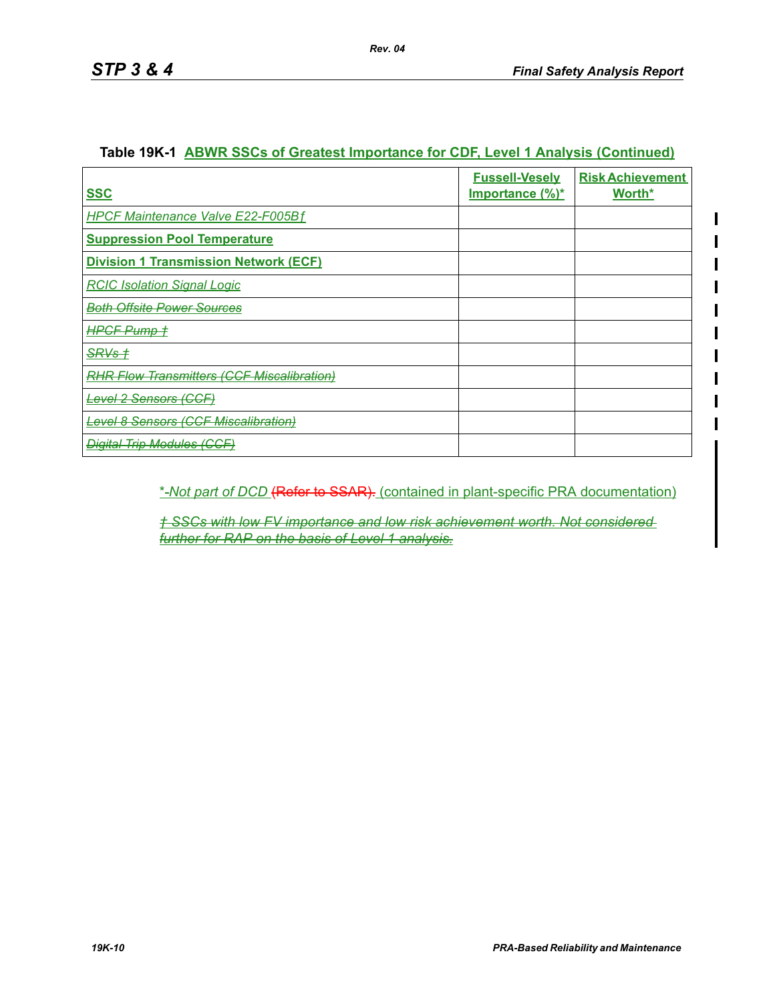ı

| <b>SSC</b>                                        | <b>Fussell-Vesely</b><br><u>Importance (%)*</u> | <b>Risk Achievement</b><br>Worth* |
|---------------------------------------------------|-------------------------------------------------|-----------------------------------|
| <b>HPCF Maintenance Valve E22-F005Bf</b>          |                                                 |                                   |
| <b>Suppression Pool Temperature</b>               |                                                 |                                   |
| <b>Division 1 Transmission Network (ECF)</b>      |                                                 |                                   |
| <b>RCIC Isolation Signal Logic</b>                |                                                 |                                   |
| <del>Both Offsite Power Sources</del>             |                                                 |                                   |
| <del>HPCF Pump †</del>                            |                                                 |                                   |
| <del>SRVs †</del>                                 |                                                 |                                   |
| <b>RHR Flow Transmitters (CCF Miscalibration)</b> |                                                 |                                   |
| <del>Level 2 Sensors (CCF)</del>                  |                                                 |                                   |
| <b>Level 8 Sensors (CCF Miscalibration)</b>       |                                                 |                                   |
| <b>Digital Trip Modules (CCF)</b>                 |                                                 |                                   |

## **Table 19K-1 ABWR SSCs of Greatest Importance for CDF, Level 1 Analysis (Continued)**

## \* *Not part of DCD* (Refer to SSAR). (contained in plant-specific PRA documentation)

*† SSCs with low FV importance and low risk achievement worth. Not considered further for RAP on the basis of Level 1 analysis.*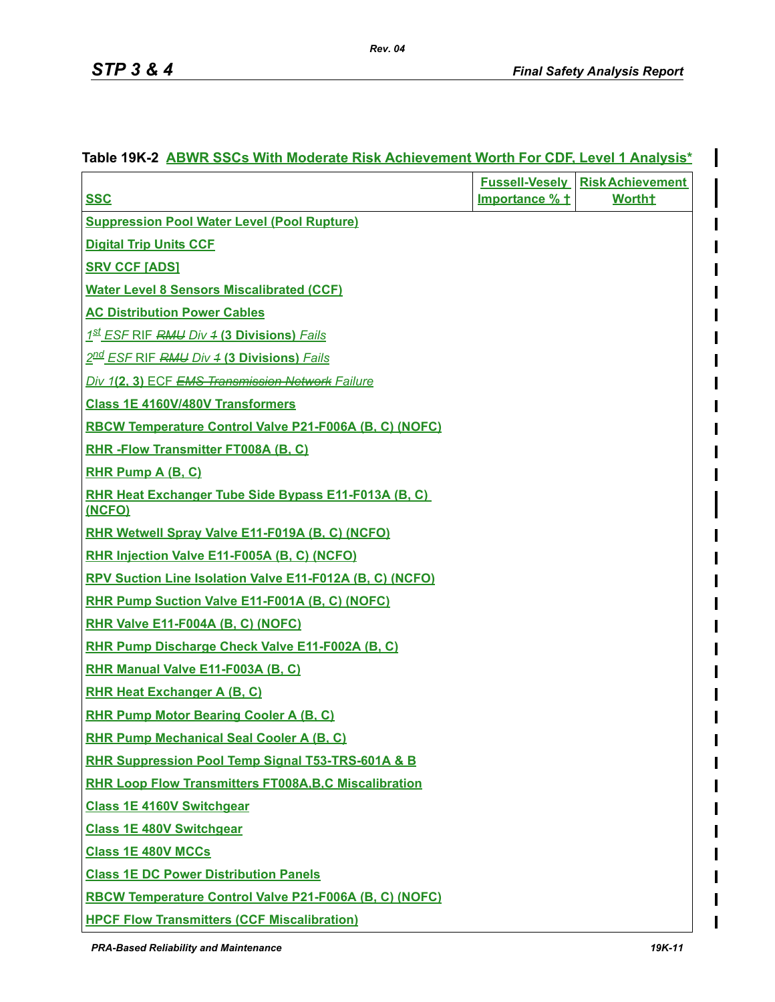I

| <b>SSC</b>                                                     | Importance % + | <b>Fussell-Veselv Risk Achievement</b><br><b>Worth†</b> |
|----------------------------------------------------------------|----------------|---------------------------------------------------------|
| <b>Suppression Pool Water Level (Pool Rupture)</b>             |                |                                                         |
| <b>Digital Trip Units CCF</b>                                  |                |                                                         |
| <b>SRV CCF [ADS]</b>                                           |                |                                                         |
| <b>Water Level 8 Sensors Miscalibrated (CCF)</b>               |                |                                                         |
| <b>AC Distribution Power Cables</b>                            |                |                                                         |
| 1st ESF RIF RMU Div 4 (3 Divisions) Fails                      |                |                                                         |
| 2nd ESF RIF RMU Div 4 (3 Divisions) Fails                      |                |                                                         |
| Div 1(2, 3) ECF EMS Transmission Network Failure               |                |                                                         |
| <b>Class 1E 4160V/480V Transformers</b>                        |                |                                                         |
| RBCW Temperature Control Valve P21-F006A (B, C) (NOFC)         |                |                                                         |
| <b>RHR-Flow Transmitter FT008A (B, C)</b>                      |                |                                                         |
| <b>RHR Pump A (B, C)</b>                                       |                |                                                         |
| RHR Heat Exchanger Tube Side Bypass E11-F013A (B, C)<br>(NCFO) |                |                                                         |
| RHR Wetwell Spray Valve E11-F019A (B, C) (NCFO)                |                |                                                         |
| RHR Injection Valve E11-F005A (B, C) (NCFO)                    |                |                                                         |
| RPV Suction Line Isolation Valve E11-F012A (B, C) (NCFO)       |                |                                                         |
| RHR Pump Suction Valve E11-F001A (B, C) (NOFC)                 |                |                                                         |
| RHR Valve E11-F004A (B, C) (NOFC)                              |                |                                                         |
| RHR Pump Discharge Check Valve E11-F002A (B, C)                |                |                                                         |
| RHR Manual Valve E11-F003A (B, C)                              |                |                                                         |
| <b>RHR Heat Exchanger A (B, C)</b>                             |                |                                                         |
| <b>RHR Pump Motor Bearing Cooler A (B, C)</b>                  |                |                                                         |
| <b>RHR Pump Mechanical Seal Cooler A (B, C)</b>                |                |                                                         |
| RHR Suppression Pool Temp Signal T53-TRS-601A & B              |                |                                                         |
| <b>RHR Loop Flow Transmitters FT008A, B, C Miscalibration</b>  |                |                                                         |
| <b>Class 1E 4160V Switchgear</b>                               |                |                                                         |
| <b>Class 1E 480V Switchgear</b>                                |                |                                                         |
| <b>Class 1E 480V MCCs</b>                                      |                |                                                         |
| <b>Class 1E DC Power Distribution Panels</b>                   |                |                                                         |
| RBCW Temperature Control Valve P21-F006A (B, C) (NOFC)         |                |                                                         |
| <b>HPCF Flow Transmitters (CCF Miscalibration)</b>             |                |                                                         |

# **Table 19K-2 ABWR SSCs With Moderate Risk Achievement Worth For CDF, Level 1 Analysis\***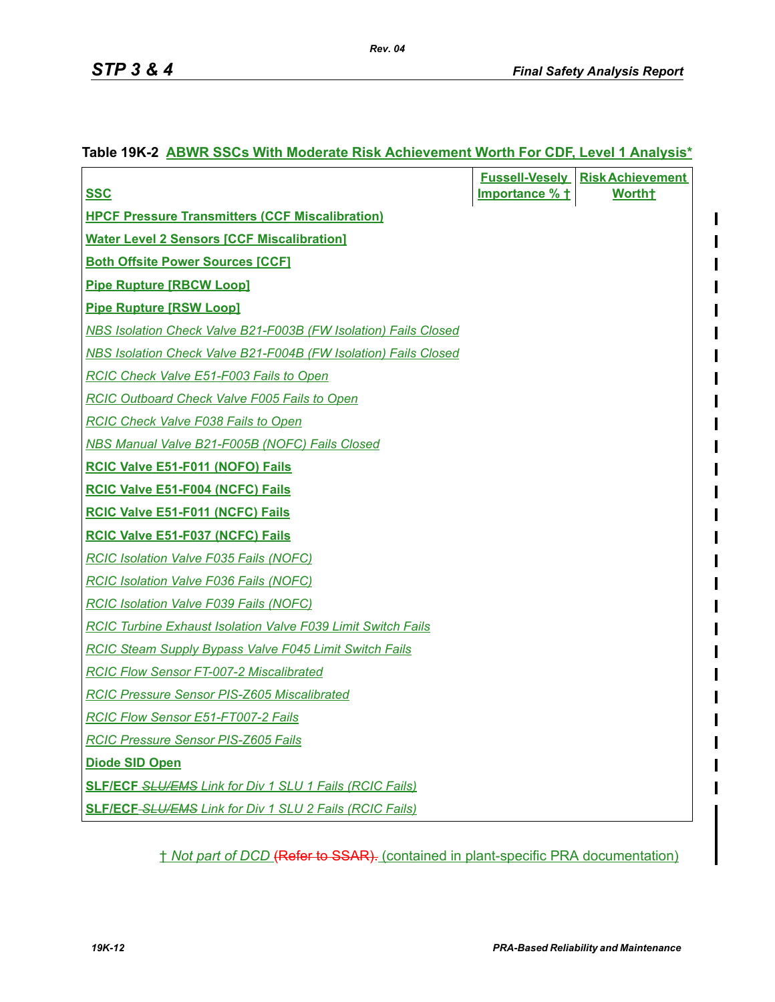I

| Table 19K-2 ABWR SSCs With Moderate Risk Achievement Worth For CDF, Level 1 Analysis* |  |
|---------------------------------------------------------------------------------------|--|
|                                                                                       |  |

|                                                                        |                | <b>Fussell-Veselv Risk Achievement</b> |
|------------------------------------------------------------------------|----------------|----------------------------------------|
| <b>SSC</b>                                                             | Importance % t | <b>Wortht</b>                          |
| <b>HPCF Pressure Transmitters (CCF Miscalibration)</b>                 |                |                                        |
| <b>Water Level 2 Sensors [CCF Miscalibration]</b>                      |                |                                        |
| <b>Both Offsite Power Sources [CCF]</b>                                |                |                                        |
| <b>Pipe Rupture [RBCW Loop]</b>                                        |                |                                        |
| <b>Pipe Rupture [RSW Loop]</b>                                         |                |                                        |
| <b>NBS Isolation Check Valve B21-F003B (FW Isolation) Fails Closed</b> |                |                                        |
| <b>NBS Isolation Check Valve B21-F004B (FW Isolation) Fails Closed</b> |                |                                        |
| <b>RCIC Check Valve E51-F003 Fails to Open</b>                         |                |                                        |
| <b>RCIC Outboard Check Valve F005 Fails to Open</b>                    |                |                                        |
| <b>RCIC Check Valve F038 Fails to Open</b>                             |                |                                        |
| <b>NBS Manual Valve B21-F005B (NOFC) Fails Closed</b>                  |                |                                        |
| <b>RCIC Valve E51-F011 (NOFO) Fails</b>                                |                |                                        |
| <b>RCIC Valve E51-F004 (NCFC) Fails</b>                                |                |                                        |
| <b>RCIC Valve E51-F011 (NCFC) Fails</b>                                |                |                                        |
| <b>RCIC Valve E51-F037 (NCFC) Fails</b>                                |                |                                        |
| <b>RCIC Isolation Valve F035 Fails (NOFC)</b>                          |                |                                        |
| <b>RCIC Isolation Valve F036 Fails (NOFC)</b>                          |                |                                        |
| <b>RCIC Isolation Valve F039 Fails (NOFC)</b>                          |                |                                        |
| <b>RCIC Turbine Exhaust Isolation Valve F039 Limit Switch Fails</b>    |                |                                        |
| <b>RCIC Steam Supply Bypass Valve F045 Limit Switch Fails</b>          |                |                                        |
| <b>RCIC Flow Sensor FT-007-2 Miscalibrated</b>                         |                |                                        |
| <b>RCIC Pressure Sensor PIS-Z605 Miscalibrated</b>                     |                |                                        |
| <b>RCIC Flow Sensor E51-FT007-2 Fails</b>                              |                |                                        |
| <b>RCIC Pressure Sensor PIS-Z605 Fails</b>                             |                |                                        |
| <b>Diode SID Open</b>                                                  |                |                                        |
| <b>SLF/ECF SLU/EMS Link for Div 1 SLU 1 Fails (RCIC Fails)</b>         |                |                                        |
| <b>SLF/ECF-SLU/EMS Link for Div 1 SLU 2 Fails (RCIC Fails)</b>         |                |                                        |
|                                                                        |                |                                        |

† *Not part of DCD* (Refer to SSAR). (contained in plant-specific PRA documentation)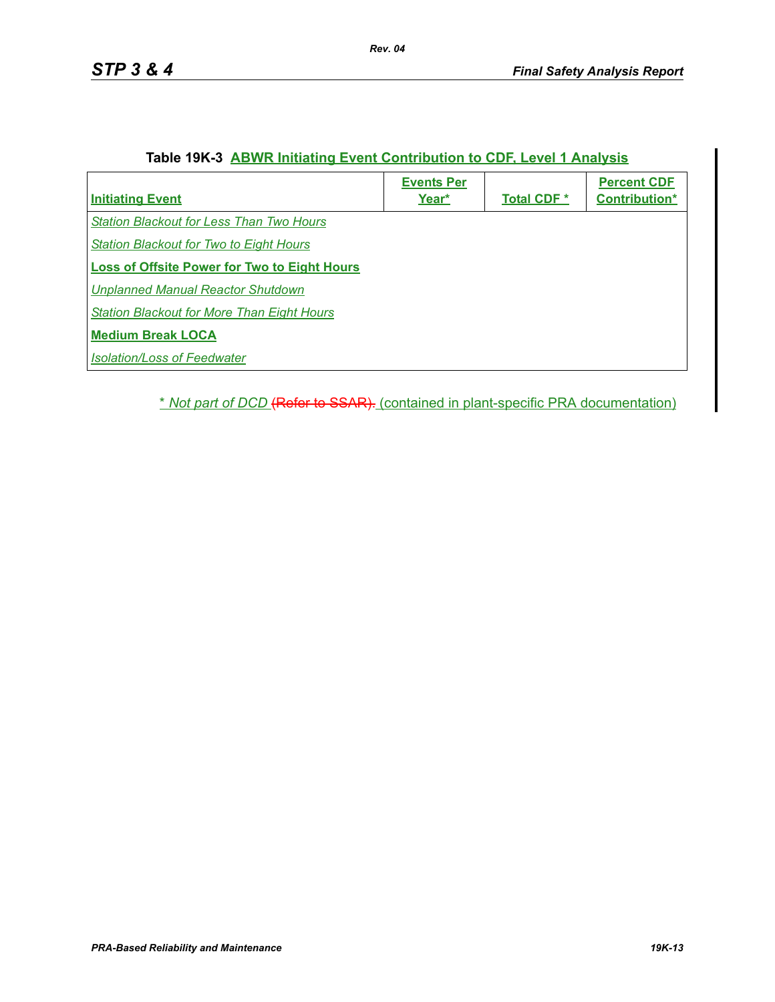|  |  |  | Table 19K-3 ABWR Initiating Event Contribution to CDF, Level 1 Analysis |
|--|--|--|-------------------------------------------------------------------------|
|--|--|--|-------------------------------------------------------------------------|

| <b>Initiating Event</b>                             | <b>Events Per</b><br>Year* | <b>Total CDF *</b> | <b>Percent CDF</b><br>Contribution* |
|-----------------------------------------------------|----------------------------|--------------------|-------------------------------------|
| <b>Station Blackout for Less Than Two Hours</b>     |                            |                    |                                     |
| <b>Station Blackout for Two to Eight Hours</b>      |                            |                    |                                     |
| <b>Loss of Offsite Power for Two to Eight Hours</b> |                            |                    |                                     |
| Unplanned Manual Reactor Shutdown                   |                            |                    |                                     |
| <b>Station Blackout for More Than Eight Hours</b>   |                            |                    |                                     |
| <b>Medium Break LOCA</b>                            |                            |                    |                                     |
| <b>Isolation/Loss of Feedwater</b>                  |                            |                    |                                     |
|                                                     |                            |                    |                                     |

\* *Not part of DCD* (Refer to SSAR). (contained in plant-specific PRA documentation)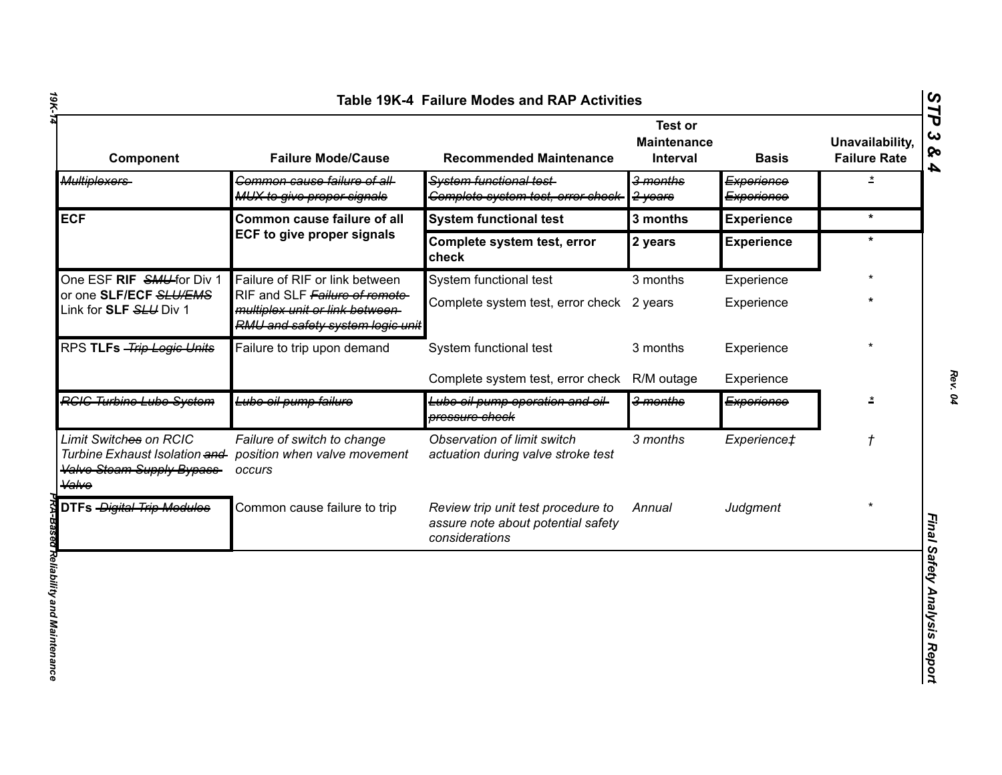| Component                                                                                                        | <b>Failure Mode/Cause</b>                                                                             | <b>Recommended Maintenance</b>                                                             | <b>Test or</b><br><b>Maintenance</b><br><b>Interval</b> | <b>Basis</b>                        | Unavailability,<br><b>Failure Rate</b> |
|------------------------------------------------------------------------------------------------------------------|-------------------------------------------------------------------------------------------------------|--------------------------------------------------------------------------------------------|---------------------------------------------------------|-------------------------------------|----------------------------------------|
| Multiplexers                                                                                                     | Common cause failure of all-<br>MUX to give proper signals                                            | System functional test-<br>Complete system test, error check-                              | <del>3 months</del><br>2-years                          | Experience<br><del>Experience</del> | $\star$                                |
| <b>ECF</b>                                                                                                       | Common cause failure of all                                                                           | <b>System functional test</b>                                                              | 3 months                                                | <b>Experience</b>                   | $\star$                                |
|                                                                                                                  | <b>ECF to give proper signals</b>                                                                     | Complete system test, error<br>check                                                       | 2 years                                                 | <b>Experience</b>                   | $\star$                                |
| One ESF RIF SMU-for Div 1                                                                                        | Failure of RIF or link between                                                                        | System functional test                                                                     | 3 months                                                | Experience                          |                                        |
| or one SLF/ECF SLU/EMS<br>Link for <b>SLF</b> <del>SLU</del> Div 1                                               | RIF and SLF Failure of remote-<br>multiplex unit or link between-<br>RMU and safety system logic unit | Complete system test, error check 2 years                                                  |                                                         | Experience                          |                                        |
| RPS TLFs - Trip Logic Units                                                                                      | Failure to trip upon demand                                                                           | System functional test                                                                     | 3 months                                                | Experience                          |                                        |
|                                                                                                                  |                                                                                                       | Complete system test, error check                                                          | R/M outage                                              | Experience                          |                                        |
| <b>RGIG Turbine Lube System</b>                                                                                  | Lube oil pump failure                                                                                 | Lube oil pump operation and oil-<br>pressure check                                         | 3 months                                                | Experience                          | $\overline{\mathbf{r}}$                |
| Limit Switches on RCIC<br>Turbine Exhaust Isolation and<br><b>Valve Steam Supply Bypass-</b><br><del>Valve</del> | Failure of switch to change<br>position when valve movement<br>occurs                                 | Observation of limit switch<br>actuation during valve stroke test                          | 3 months                                                | Experience‡                         | $\mathcal{L}_{\mathcal{A}}$            |
| DTFs - Digital Trip Modules                                                                                      | Common cause failure to trip                                                                          | Review trip unit test procedure to<br>assure note about potential safety<br>considerations | Annual                                                  | Judgment                            |                                        |
|                                                                                                                  |                                                                                                       |                                                                                            |                                                         |                                     |                                        |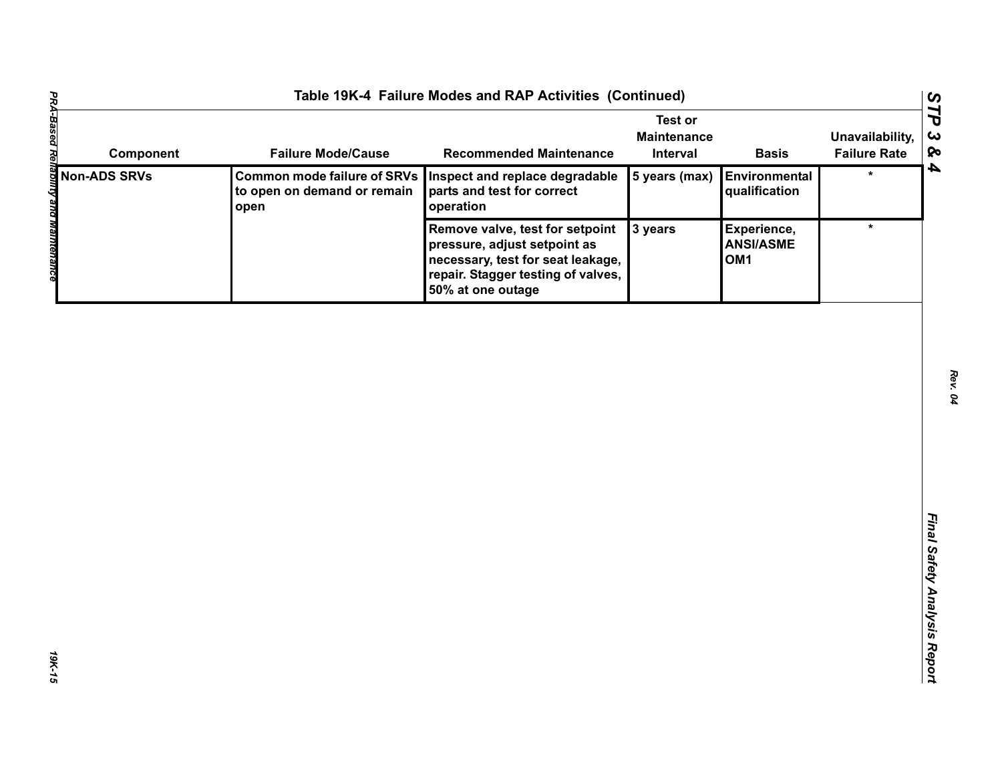| Table 19K-4 Failure Modes and RAP Activities (Continued)                                                                                                                                                                                                                                |                                                                           |                                                                                                                                                                 |                                                  |                                                    |                                        |
|-----------------------------------------------------------------------------------------------------------------------------------------------------------------------------------------------------------------------------------------------------------------------------------------|---------------------------------------------------------------------------|-----------------------------------------------------------------------------------------------------------------------------------------------------------------|--------------------------------------------------|----------------------------------------------------|----------------------------------------|
| Component                                                                                                                                                                                                                                                                               | <b>Failure Mode/Cause</b>                                                 | <b>Recommended Maintenance</b>                                                                                                                                  | <b>Test or</b><br><b>Maintenance</b><br>Interval | <b>Basis</b>                                       | Unavailability,<br><b>Failure Rate</b> |
|                                                                                                                                                                                                                                                                                         | <b>Common mode failure of SRVs</b><br>to open on demand or remain<br>open | Inspect and replace degradable<br>parts and test for correct<br>operation                                                                                       | 5 years (max)                                    | Environmental<br>qualification                     | $\star$                                |
| <b>PROFILED MOTOR COMPOT<br/> MOTOR SRVS</b><br>Compon<br>Compon<br>Compon<br>Compon<br>Compon<br>Compon<br>Compon<br>Compon<br>Compon<br>Compon<br>Compon<br>Compon<br>Compon<br>Compon<br>Compon<br>Compon<br>Compon<br>Compon<br>Compon<br>Compon<br>Compon<br>Compon<br>Compon<br>C |                                                                           | Remove valve, test for setpoint<br>pressure, adjust setpoint as<br>necessary, test for seat leakage,<br>repair. Stagger testing of valves,<br>50% at one outage | 3 years                                          | Experience,<br><b>ANSI/ASME</b><br>OM <sub>1</sub> | $\star$                                |
|                                                                                                                                                                                                                                                                                         |                                                                           |                                                                                                                                                                 |                                                  |                                                    |                                        |
|                                                                                                                                                                                                                                                                                         |                                                                           |                                                                                                                                                                 |                                                  |                                                    |                                        |
|                                                                                                                                                                                                                                                                                         |                                                                           |                                                                                                                                                                 |                                                  |                                                    |                                        |
|                                                                                                                                                                                                                                                                                         |                                                                           |                                                                                                                                                                 |                                                  |                                                    |                                        |
|                                                                                                                                                                                                                                                                                         |                                                                           |                                                                                                                                                                 |                                                  |                                                    |                                        |
|                                                                                                                                                                                                                                                                                         |                                                                           |                                                                                                                                                                 |                                                  |                                                    |                                        |
|                                                                                                                                                                                                                                                                                         |                                                                           |                                                                                                                                                                 |                                                  |                                                    |                                        |
|                                                                                                                                                                                                                                                                                         |                                                                           |                                                                                                                                                                 |                                                  |                                                    |                                        |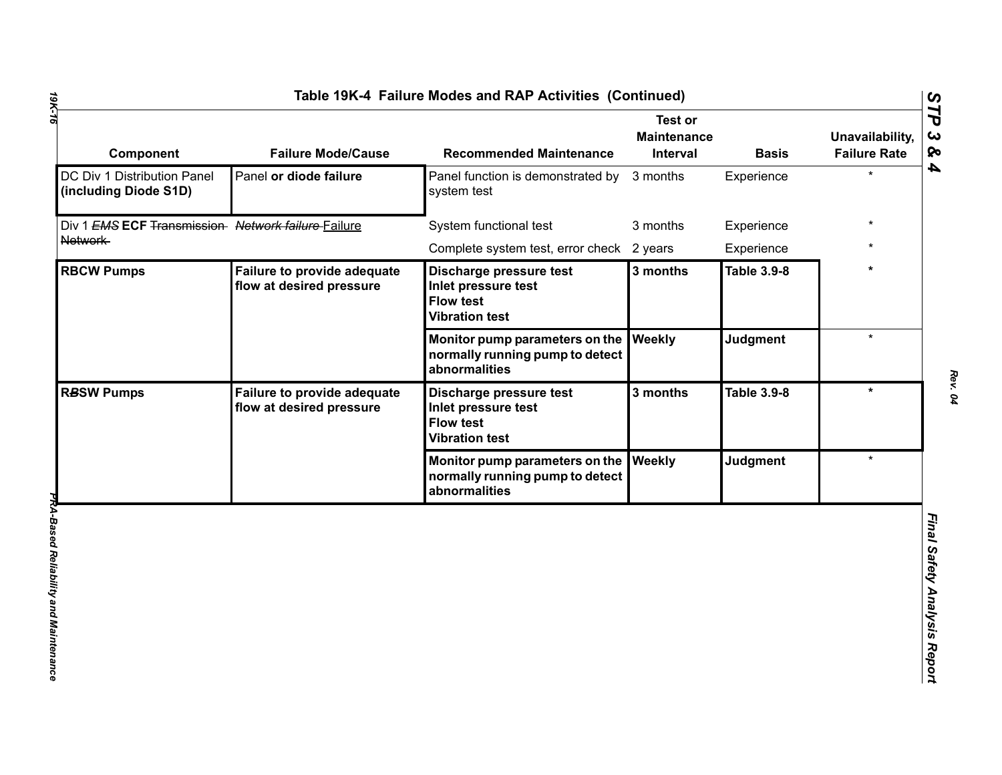| Component                                            | <b>Failure Mode/Cause</b>                                      | <b>Recommended Maintenance</b>                                                              | <b>Test or</b><br><b>Maintenance</b><br><b>Interval</b> | <b>Basis</b>       | Unavailability,<br><b>Failure Rate</b> |
|------------------------------------------------------|----------------------------------------------------------------|---------------------------------------------------------------------------------------------|---------------------------------------------------------|--------------------|----------------------------------------|
| DC Div 1 Distribution Panel<br>(including Diode S1D) | Panel or diode failure                                         | Panel function is demonstrated by<br>system test                                            | 3 months                                                | Experience         |                                        |
| Div 1 EMS ECF Transmission Network failure Failure   |                                                                | System functional test                                                                      | 3 months                                                | Experience         |                                        |
| Network                                              |                                                                | Complete system test, error check 2 years                                                   |                                                         | Experience         |                                        |
| <b>RBCW Pumps</b>                                    | <b>Failure to provide adequate</b><br>flow at desired pressure | Discharge pressure test<br>Inlet pressure test<br><b>Flow test</b><br><b>Vibration test</b> | 3 months                                                | <b>Table 3.9-8</b> |                                        |
|                                                      |                                                                | Monitor pump parameters on the<br>normally running pump to detect<br>abnormalities          | Weekly                                                  | Judgment           | $\star$                                |
| <b>RBSW Pumps</b>                                    | <b>Failure to provide adequate</b><br>flow at desired pressure | Discharge pressure test<br>Inlet pressure test<br><b>Flow test</b><br><b>Vibration test</b> | 3 months                                                | <b>Table 3.9-8</b> | $\star$                                |
|                                                      |                                                                | Monitor pump parameters on the<br>normally running pump to detect<br>abnormalities          | Weekly                                                  | Judgment           | $\star$                                |
|                                                      |                                                                |                                                                                             |                                                         |                    |                                        |

*Rev. 04*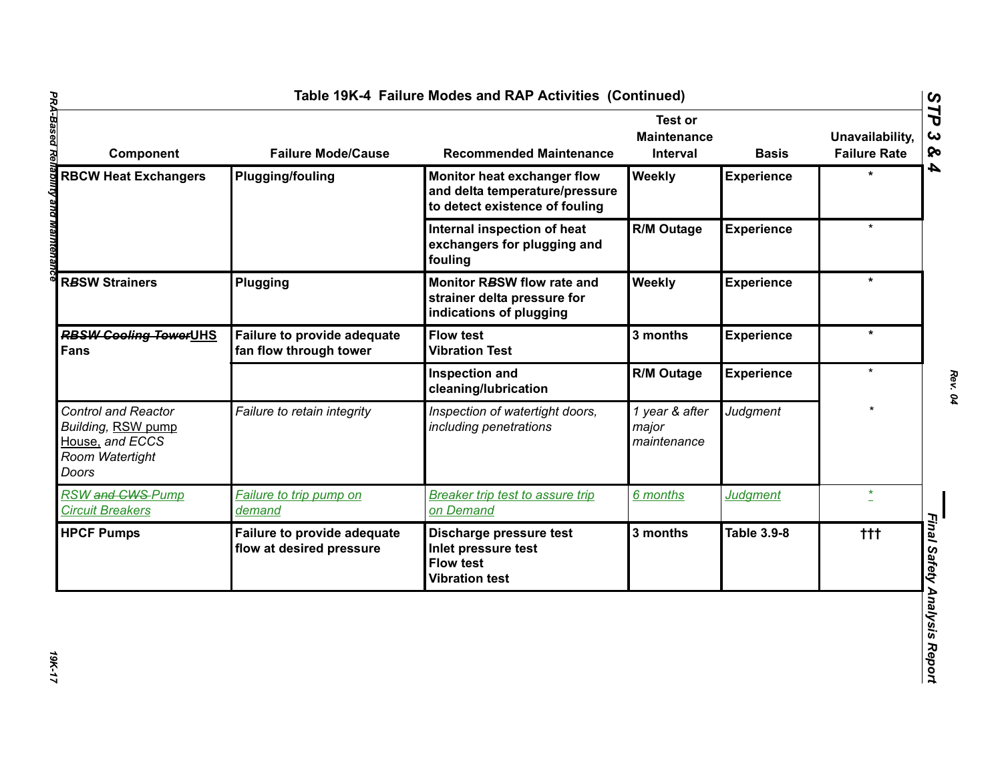| Component                                                                                              | <b>Failure Mode/Cause</b>                               | <b>Recommended Maintenance</b>                                                                  | <b>Test or</b><br><b>Maintenance</b><br><b>Interval</b> | <b>Basis</b>       | Unavailability,<br><b>Failure Rate</b> |
|--------------------------------------------------------------------------------------------------------|---------------------------------------------------------|-------------------------------------------------------------------------------------------------|---------------------------------------------------------|--------------------|----------------------------------------|
| <b>RBCW Heat Exchangers</b>                                                                            | <b>Plugging/fouling</b>                                 | Monitor heat exchanger flow<br>and delta temperature/pressure<br>to detect existence of fouling | Weekly                                                  | <b>Experience</b>  |                                        |
|                                                                                                        |                                                         | Internal inspection of heat<br>exchangers for plugging and<br>fouling                           | <b>R/M Outage</b>                                       | <b>Experience</b>  | $\star$                                |
| <b>RBSW Strainers</b>                                                                                  | Plugging                                                | Monitor RBSW flow rate and<br>strainer delta pressure for<br>indications of plugging            | Weekly                                                  | <b>Experience</b>  | *                                      |
| <b>RBSW Cooling TowerUHS</b><br>Fans                                                                   | Failure to provide adequate<br>fan flow through tower   | <b>Flow test</b><br><b>Vibration Test</b>                                                       | 3 months                                                | <b>Experience</b>  | $\star$                                |
|                                                                                                        |                                                         | <b>Inspection and</b><br>cleaning/lubrication                                                   | R/M Outage                                              | <b>Experience</b>  | $\star$                                |
| <b>Control and Reactor</b><br><b>Building, RSW pump</b><br>House, and ECCS<br>Room Watertight<br>Doors | Failure to retain integrity                             | Inspection of watertight doors,<br>including penetrations                                       | 1 year & after<br>major<br>maintenance                  | <b>Judgment</b>    |                                        |
| RSW and CWS-Pump<br><b>Circuit Breakers</b>                                                            | Failure to trip pump on<br>demand                       | <b>Breaker trip test to assure trip</b><br>on Demand                                            | 6 months                                                | <b>Judgment</b>    | $\star$                                |
| <b>HPCF Pumps</b>                                                                                      | Failure to provide adequate<br>flow at desired pressure | Discharge pressure test<br>Inlet pressure test<br><b>Flow test</b><br><b>Vibration test</b>     | 3 months                                                | <b>Table 3.9-8</b> | $+ + +$                                |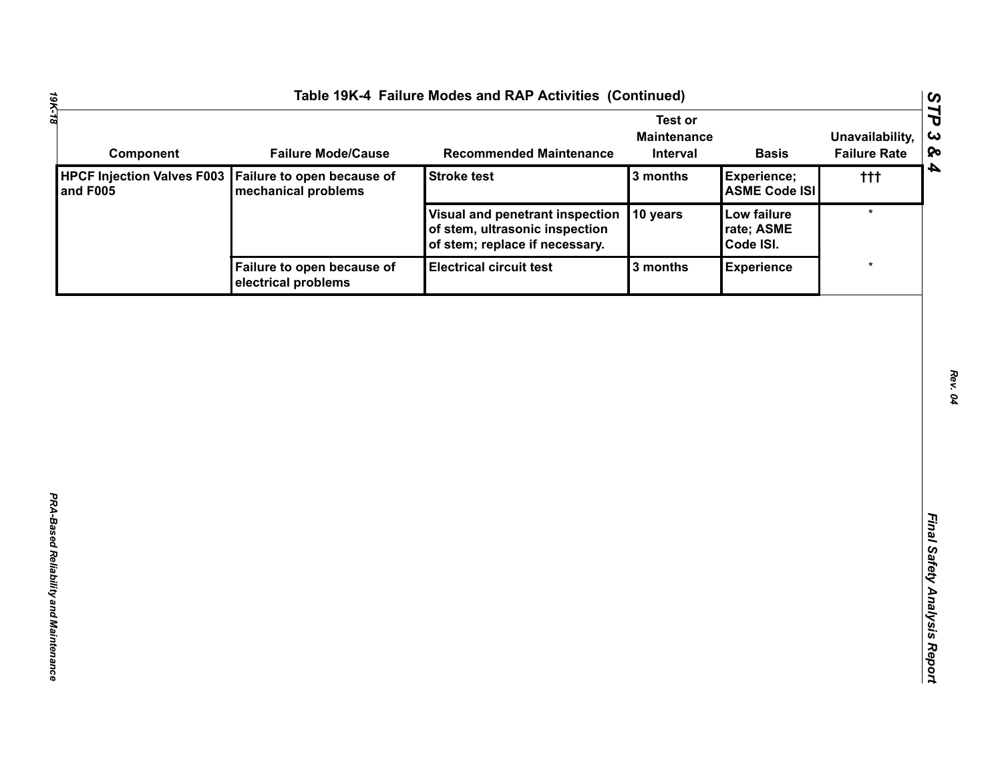| Component                                     | <b>Failure Mode/Cause</b>                         | <b>Recommended Maintenance</b>                                                                      | <b>Test or</b><br><b>Maintenance</b><br>Interval | <b>Basis</b>                           | Unavailability,<br><b>Failure Rate</b> |
|-----------------------------------------------|---------------------------------------------------|-----------------------------------------------------------------------------------------------------|--------------------------------------------------|----------------------------------------|----------------------------------------|
| <b>HPCF Injection Valves F003</b><br>and F005 | Failure to open because of<br>mechanical problems | <b>Stroke test</b>                                                                                  | 3 months                                         | Experience;<br><b>ASME Code ISI</b>    | ttt                                    |
|                                               |                                                   | Visual and penetrant inspection<br>of stem, ultrasonic inspection<br>of stem; replace if necessary. | 10 years                                         | Low failure<br>rate; ASME<br>Code ISI. | $\star$                                |
|                                               | Failure to open because of<br>electrical problems | <b>Electrical circuit test</b>                                                                      | 3 months                                         | <b>Experience</b>                      | $\star$                                |
|                                               |                                                   |                                                                                                     |                                                  |                                        |                                        |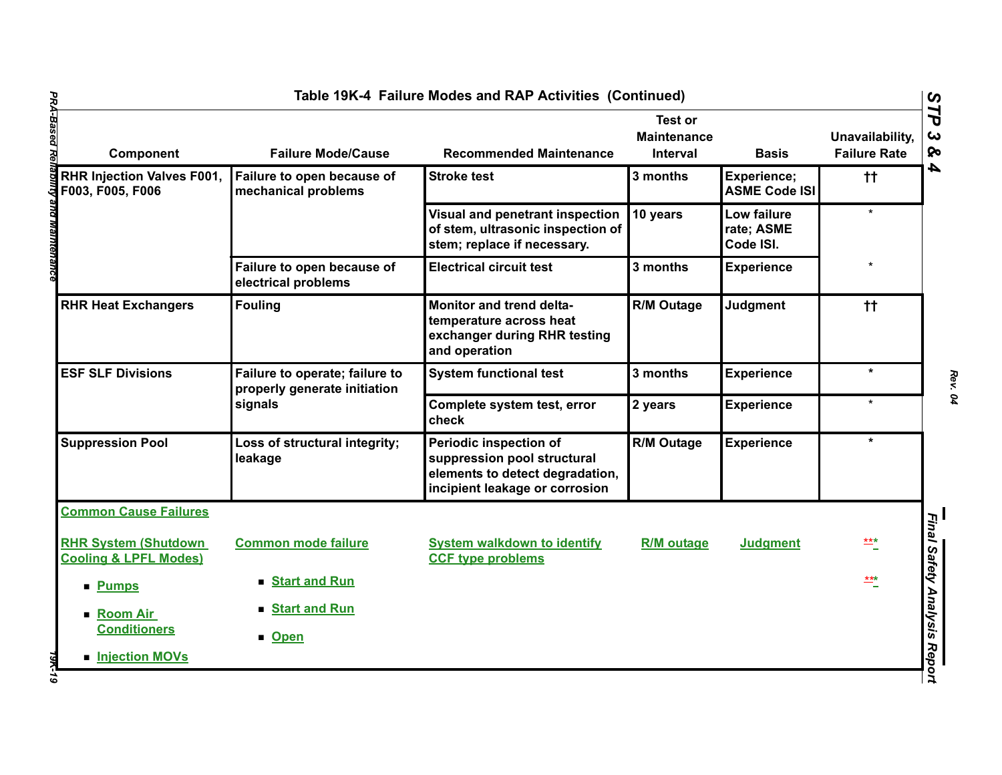| Component                                                        | <b>Failure Mode/Cause</b>                                      | <b>Recommended Maintenance</b>                                                                                             | Test or<br><b>Maintenance</b><br>Interval | <b>Basis</b>                           | Unavailability,<br><b>Failure Rate</b> |
|------------------------------------------------------------------|----------------------------------------------------------------|----------------------------------------------------------------------------------------------------------------------------|-------------------------------------------|----------------------------------------|----------------------------------------|
| <b>RHR Injection Valves F001,</b><br>F003, F005, F006            | Failure to open because of<br>mechanical problems              | <b>Stroke test</b>                                                                                                         | 3 months                                  | Experience;<br><b>ASME Code ISI</b>    | $^{\dagger\dagger}$                    |
|                                                                  |                                                                | Visual and penetrant inspection<br>of stem, ultrasonic inspection of<br>stem; replace if necessary.                        | 10 years                                  | Low failure<br>rate; ASME<br>Code ISI. | $\star$                                |
|                                                                  | Failure to open because of<br>electrical problems              | <b>Electrical circuit test</b>                                                                                             | 3 months                                  | <b>Experience</b>                      | $\star$                                |
| <b>RHR Heat Exchangers</b>                                       | <b>Fouling</b>                                                 | Monitor and trend delta-<br>temperature across heat<br>exchanger during RHR testing<br>and operation                       | R/M Outage                                | Judgment                               | $^{\dagger\dagger}$                    |
| <b>ESF SLF Divisions</b>                                         | Failure to operate; failure to<br>properly generate initiation | <b>System functional test</b>                                                                                              | 3 months                                  | <b>Experience</b>                      | $\star$                                |
|                                                                  | signals                                                        | Complete system test, error<br>check                                                                                       | 2 years                                   | <b>Experience</b>                      | $\star$                                |
| <b>Suppression Pool</b>                                          | Loss of structural integrity;<br>leakage                       | Periodic inspection of<br>suppression pool structural<br>elements to detect degradation,<br>incipient leakage or corrosion | <b>R/M Outage</b>                         | <b>Experience</b>                      | $\star$                                |
| <b>Common Cause Failures</b>                                     |                                                                |                                                                                                                            |                                           |                                        |                                        |
| <b>RHR System (Shutdown)</b><br><b>Cooling &amp; LPFL Modes)</b> | <b>Common mode failure</b>                                     | <b>System walkdown to identify</b><br><b>CCF type problems</b>                                                             | <b>R/M</b> outage                         | <b>Judgment</b>                        | $rac{***}{-}$                          |
| <b>Pumps</b>                                                     | Start and Run                                                  |                                                                                                                            |                                           |                                        | $\stackrel{***}{-}$                    |
| ■ Room Air<br><b>Conditioners</b>                                | Start and Run<br>■ Open                                        |                                                                                                                            |                                           |                                        |                                        |
| <b>Injection MOVs</b>                                            |                                                                |                                                                                                                            |                                           |                                        |                                        |

*Rev. 04*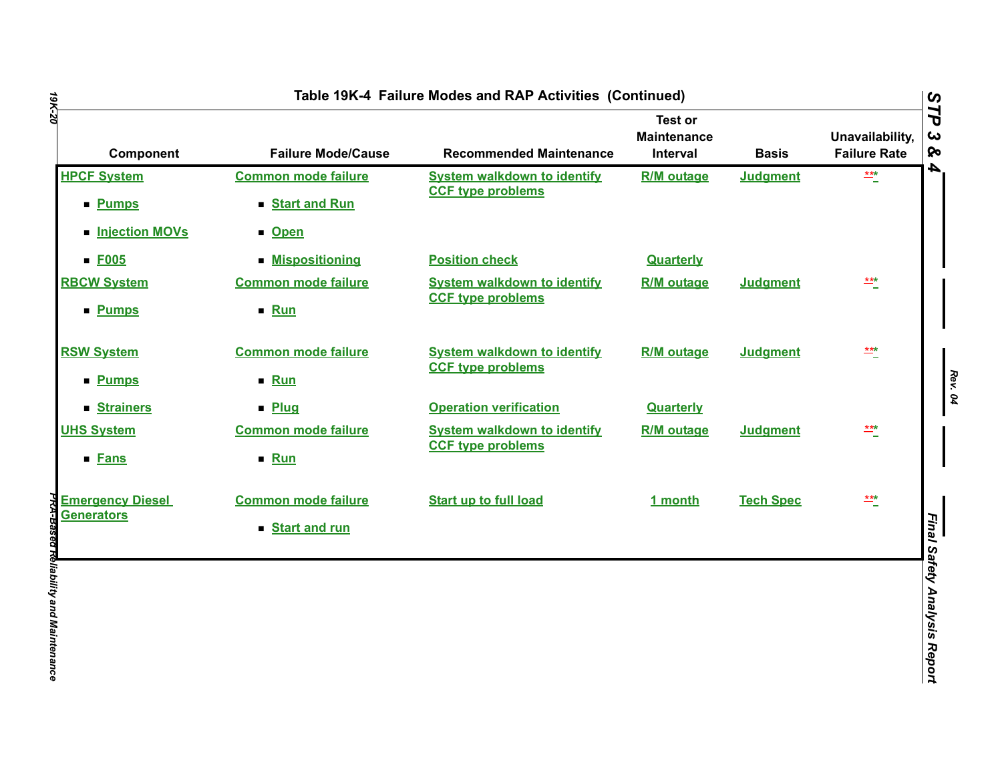| 19K-20                             |                                             | Table 19K-4 Failure Modes and RAP Activities (Continued)       |                                                  |                  |                                        |                              |
|------------------------------------|---------------------------------------------|----------------------------------------------------------------|--------------------------------------------------|------------------|----------------------------------------|------------------------------|
| Component                          | <b>Failure Mode/Cause</b>                   | <b>Recommended Maintenance</b>                                 | <b>Test or</b><br><b>Maintenance</b><br>Interval | <b>Basis</b>     | Unavailability,<br><b>Failure Rate</b> | STP<br>ట<br>ଚ୍ଚ              |
| <b>HPCF System</b><br><b>Pumps</b> | <b>Common mode failure</b><br>Start and Run | <b>System walkdown to identify</b><br><b>CCF type problems</b> | <b>R/M</b> outage                                | <b>Judgment</b>  | $\frac{***}{}$                         | 4                            |
| <b>Injection MOVs</b>              | <b>D</b> Den                                |                                                                |                                                  |                  |                                        |                              |
| $E_{005}$                          | <b>Mispositioning</b>                       | <b>Position check</b>                                          | <b>Quarterly</b>                                 |                  |                                        |                              |
| <b>RBCW System</b>                 | <b>Common mode failure</b>                  | <b>System walkdown to identify</b>                             | <b>R/M</b> outage                                | <b>Judgment</b>  | $\frac{***}{*}$                        |                              |
| <b>Pumps</b>                       | ■ Run                                       | <b>CCF type problems</b>                                       |                                                  |                  |                                        |                              |
| <b>RSW System</b>                  | <b>Common mode failure</b>                  | <b>System walkdown to identify</b>                             | <b>R/M</b> outage                                | <b>Judgment</b>  | $rac{***}{-}$                          |                              |
| <b>Pumps</b>                       | ■ Run                                       | <b>CCF type problems</b>                                       |                                                  |                  |                                        |                              |
| <b>Strainers</b>                   | · Plug                                      | <b>Operation verification</b>                                  | <b>Quarterly</b>                                 |                  |                                        |                              |
| <b>UHS System</b>                  | <b>Common mode failure</b>                  | <b>System walkdown to identify</b>                             | <b>R/M</b> outage                                | <b>Judgment</b>  | $\frac{***}{}$                         |                              |
| ■ Fans                             | $\blacksquare$ Run                          | <b>CCF type problems</b>                                       |                                                  |                  |                                        |                              |
| <b>Emergency Diesel</b>            | <b>Common mode failure</b>                  | <b>Start up to full load</b>                                   | 1 month                                          | <b>Tech Spec</b> | $rac{***}{*}$                          |                              |
| <b>Generators</b>                  | Start and run                               |                                                                |                                                  |                  |                                        | Final Safety Analysis Report |
|                                    |                                             |                                                                |                                                  |                  |                                        |                              |
|                                    |                                             |                                                                |                                                  |                  |                                        |                              |
|                                    |                                             |                                                                |                                                  |                  |                                        |                              |
|                                    |                                             |                                                                |                                                  |                  |                                        |                              |
|                                    |                                             |                                                                |                                                  |                  |                                        |                              |